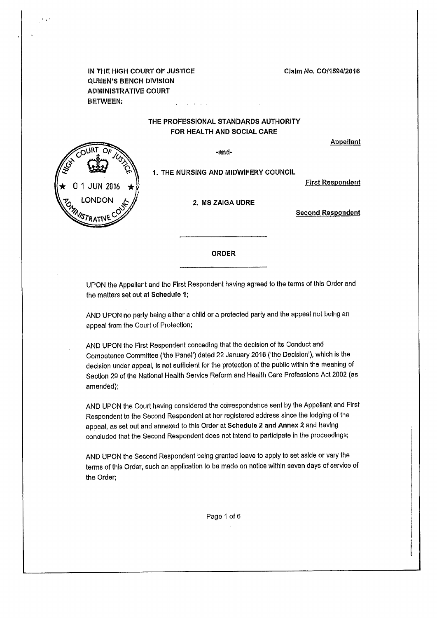Claim No, C0/1594/2016

IN THE HIGH COURT OF JUSTICE QUEEN'S BENCH DIVISION ADMINISTRATIVE COURT BETWEEN:

#### THE PROFESSIONAL STANDARDS AUTHORITY FOR HEALTH AND SOCIAL CARE

**Appellant** 



-and-

1. THE NURSING AND MIDWIFERY COUNCIL

First Respondent

2, MS ZAIGA UDRE

Second Respondent

ORDER

UPON the Appellant and the First Respondent having agreed to the terms of this Order and the matters set out at Schedule 1;

AND UPON no party being either a child or a protected party and the appeal not being an appeal from the Court of Protection;

AND UPON the First Respondent conceding that the decision of its Conduct and Competence Committee ('the Panel') dated 22 January 2016 ('the Decision'), which is the decision under appeal, is not sufficient for the protection of the public within the meaning of Section 29 of the National Health Service Reform and Health Care Professions Act 2002 (as amended);

AND UPON the Court having considered the correspondence sent by the Appellant and First Respondent to the Second Respondent at her registered address since the lodging of the appeal, as set out and annexed to this Order at Schedule 2 and Annex 2 and having concluded that the Second Respondent does not intend to participate in the proceedings;

AND UPON the Second Respondent being granted leave to apply to set aside or vary the terms of this Order, such an application to be made on notice within seven days of service of the Order;

Page 1 of 6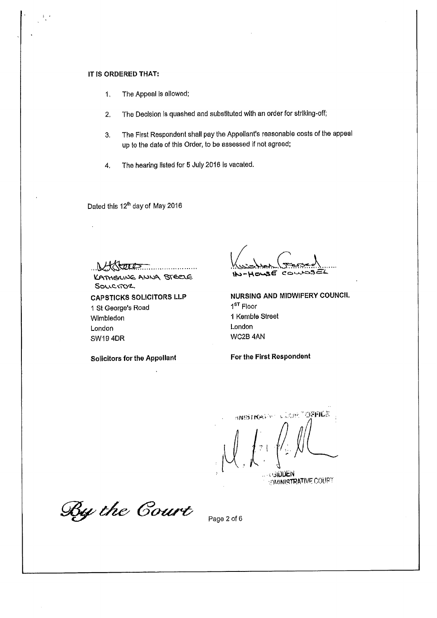#### IT IS ORDERED THAT:

- 1, The Appeal is allowed;
- 2. The Decision is quashed and substituted with an order for striking-off;
- 3, The First Respondent shall pay the Appellant's reasonable costs of the appeal up to the date of this Order, to be assessed if not agreed;
- 4. The hearing listed for 5 July 2016 Is vacated.

Dated this 12<sup>th</sup> day of May 2016

 $2002$ 

KATHERING ANNA STEELE Souc.moz.

CAPSTICKS SOLICITORS LLP 1 St George's Road Wimbledon London SW19 4DR

52  $\sim$ 

NURSING AND MIDWIFERY COUNCIL 1<sup>ST</sup> Floor 1 Kemble Street London WC2B 4AN

Solicitors for the Appellant For the First Respondent

**SWEET AND START OFFICE** •ilODfcN **VIMMISTRATIVE COURT** 

By the Court

Page 2 of 6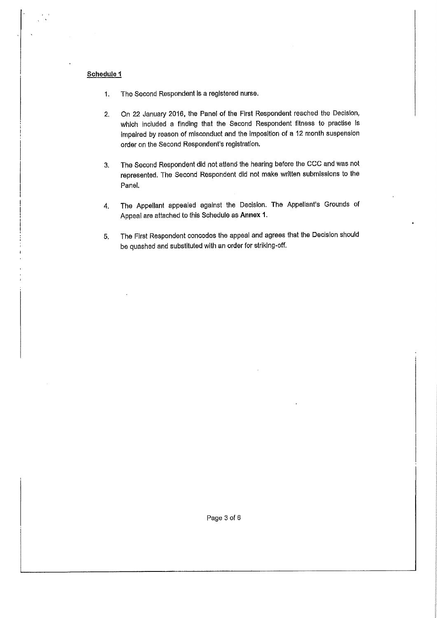#### Schedule 1

- 1. The Second Respondent is a registered nurse.
- 2. On 22 January 2016, the Panel of the First Respondent reached the Decision, which included a finding that the Second Respondent fitness to practise is impaired by reason of misconduct and the imposition of a 12 month suspension order on the Second Respondent's registration.
- 3. The Second Respondent did not attend the hearing before the CCC and was not represented. The Second Respondent did not make written submissions to the Panel.
- 4. The Appellant appealed against the Decision. The Appellant's Grounds of Appeal are attached to this Schedule as Annex 1.
- 5. The First Respondent concedes the appeal and agrees that the Decision should be quashed and substituted with an order for striklng-off.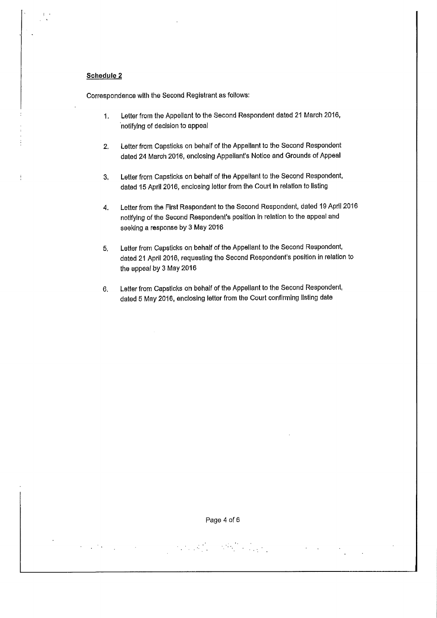#### Schedule 2

Correspondence with the Second Registrant as follows:

- 1. Letter from the Appellant to the Second Respondent dated 21 March 2016, notifying of decision to appeal
- 2. Letter from Capsticks on behalf of the Appellant to the Second Respondent dated 24 March 2016, enclosing Appellant's Notice and Grounds of Appeal
- 3, Letter from Capsticks on behalf of the Appellant to the Second Respondent, dated 15 April 2016, enclosing letter from the Court In relation to listing
- 4. Letter from the First Respondent to the Second Respondent, dated 19 April 2016 notifying of the Second Respondent's position in relation to the appeal and seeking a response by 3 May 2016
- 5, Letter from Capsticks on behalf of the Appellant to the Second Respondent, dated 21 April 2016, requesting the Second Respondent's position in relation to the appeal by 3 May 2016
- 6. Letter from Capsticks on behalf of the Appellant to the Second Respondent, dated 5 May 2016, enclosing letter from the Court confirming listing date

 $\label{eq:2} \mathcal{L}^{\text{max}}_{\text{max}} = \mathcal{L}^{\text{max}}_{\text{max}}$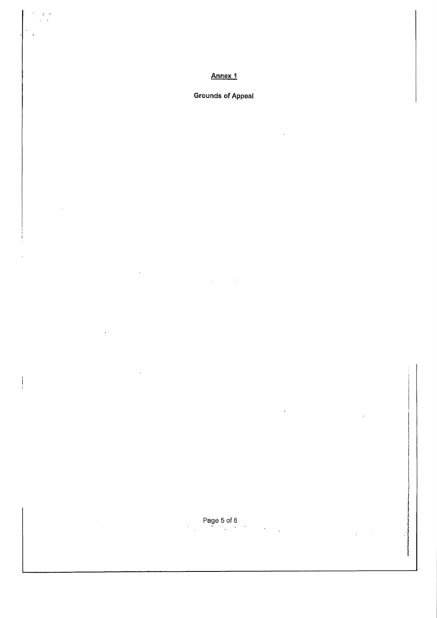### Annex 1

 $\overline{16}$ 

 $\mathbf{I}$ 

### Grounds of Appeal

Page 5 of 6

 $\overline{a}$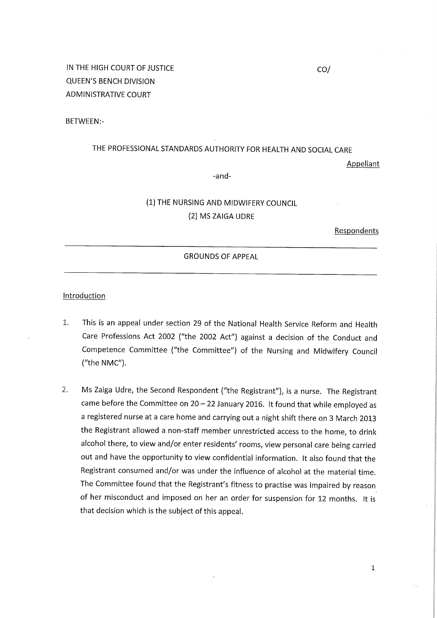BETWEEN:-

### THE PROFESSIONAL STANDARDS AUTHORITY FOR HEALTH AND SOCIAL CARE

Appellant

-and-

### (1) THE NURSING AND MIDWIFERY COUNCIL (2) MS ZAIGA UDRE

Respondents

#### GROUNDS OF APPEAL

#### **Introduction**

- 1. This is an appeal under section 29 of the National Health Service Reform and Health Care Professions Act 2002 ("the 2002 Act") against a decision of the Conduct and Competence Committee ("the Committee") of the Nursing and Midwifery Council ("the NMC").
- 2. Ms Zaiga Udre, the Second Respondent ("the Registrant"), is a nurse. The Registrant came before the Committee on  $20 - 22$  January 2016. It found that while employed as a registered nurse at a care home and carrying out a night shift there on 3 March 2013 the Registrant allowed a non-staff member unrestricted access to the home, to drink alcohol there, to view and/or enter residents' rooms, view personal care being carried out and have the opportunity to view confidential information. It also found that the Registrant consumed and/or was under the influence of alcohol at the material time. The Committee found that the Registrant's fitness to practise was impaired by reason of her misconduct and imposed on her an order for suspension for 12 months. It is that decision which is the subject of this appeal.

CO/

1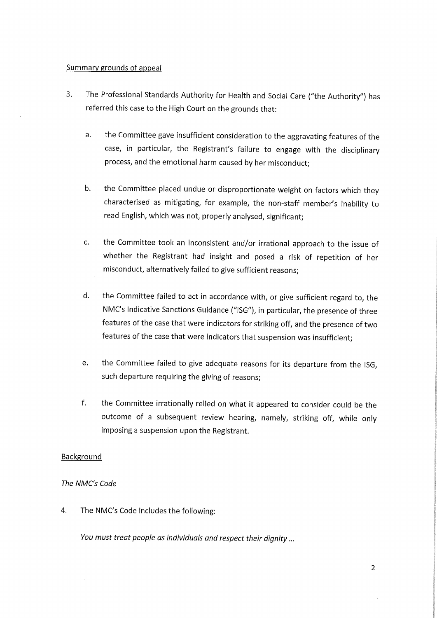#### Summary grounds of appeal

- 3. The Professional Standards Authority for Health and Social Care ("the Authority") has referred this case to the High Court on the grounds that:
	- a. the Committee gave insufficient consideration to the aggravating features of the case, in particular, the Registrant's failure to engage with the disciplinary process, and the emotional harm caused by her misconduct;
	- b. the Committee placed undue or disproportionate weight on factors which they characterised as mitigating, for example, the non-staff member's inability to read English, which was not, properly analysed, significant;
	- c. the Committee took an inconsistent and/or irrational approach to the issue of whether the Registrant had insight and posed a risk of repetition of her misconduct, alternatively failed to give sufficient reasons;
	- d. the Committee failed to act in accordance with, or give sufficient regard to, the NMC's Indicative Sanctions Guidance ("ISG"), in particular, the presence of three features of the case that were indicators for striking off, and the presence of two features of the case that were indicators that suspension was insufficient;
	- e. the Committee failed to give adequate reasons for its departure from the ISG, such departure requiring the giving of reasons;
	- f. the Committee irrationally relied on what it appeared to consider could be the outcome of a subsequent review hearing, namely, striking off, while only imposing a suspension upon the Registrant.

#### **Background**

#### The NMC's Code

4. The NMC's Code includes the following:

You must treat people as individuals and respect their dignity...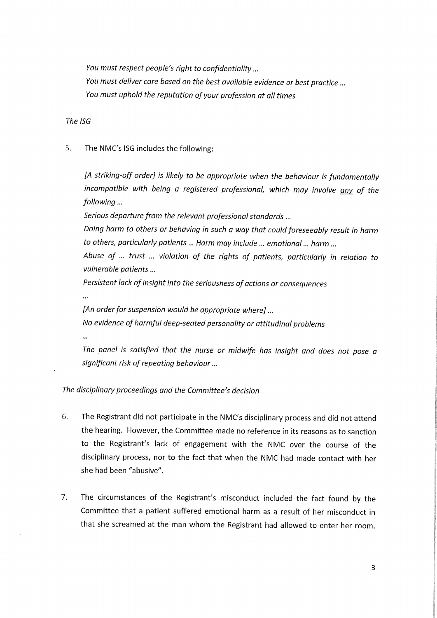You must respect people's right to confidentiality... You must deliver care based on the best available evidence or best practice ... You must uphold the reputation of your profession at all times

The ISG

5. The NMC's ISG includes the following:

[A striking-off order] is likely to be appropriate when the behaviour is fundamentally incompatible with being a registered professional, which may involve any of the following...

Serious departure from the relevant professional standards ...

Doing harm to others or behaving in such a way that could foreseeably result in harm to others, particularly patients... Harm may include ... emotional... harm ...

Abuse of ... trust ... violation of the rights of patients, particularly in relation to vulnerable patients...

Persistent lack of insight into the seriousness of actions or consequences

[An order for suspension would be appropriate where]... No evidence of harmful deep-seated personality or attitudinal problems

 $\ddotsc$ 

The panel is satisfied that the nurse or midwife has insight and does not pose a significant risk of repeating behaviour...

The disciplinary proceedings and the Committee's decision

- 6. The Registrant did not participate in the NMC's disciplinary process and did not attend the hearing. However, the Committee made no reference in its reasons as to sanction to the Registrant's lack of engagement with the NMC over the course of the disciplinary process, nor to the fact that when the NMC had made contact with her she had been "abusive".
- 7. The circumstances of the Registrant's misconduct included the fact found by the Committee that a patient suffered emotional harm as a result of her misconduct in that she screamed at the man whom the Registrant had allowed to enter her room.

3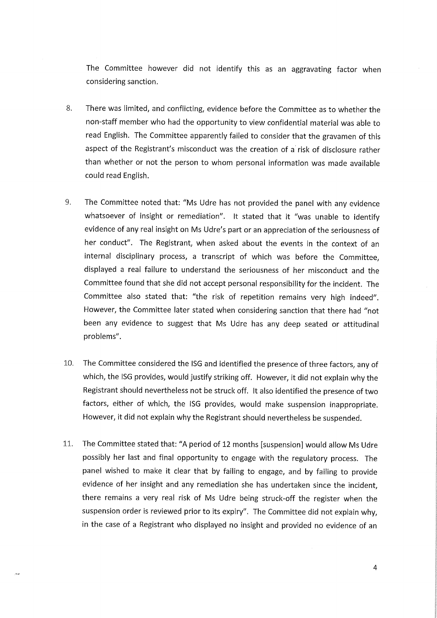The Committee however did not identify this as an aggravating factor when considering sanction.

- 8. There was limited, and conflicting, evidence before the Committee as to whether the non-staff member who had the opportunity to view confidential material was able to read English. The Committee apparently failed to consider that the gravamen of this aspect of the Registrant's misconduct was the creation of a'risk of disclosure rather than whether or not the person to whom personal information was made available could read English.
- 9. The Committee noted that: "Ms Udre has not provided the panel with any evidence whatsoever of insight or remediation". It stated that it "was unable to identify evidence of any real insight on Ms Udre's part or an appreciation of the seriousness of her conduct". The Registrant, when asked about the events in the context of an internal disciplinary process, a transcript of which was before the Committee, displayed a real failure to understand the seriousness of her misconduct and the Committee found that she did not accept personal responsibility for the incident. The Committee also stated that: "the risk of repetition remains very high indeed". However, the Committee later stated when considering sanction that there had "not been any evidence to suggest that Ms Udre has any deep seated or attitudinal problems".
- 10. The Committee considered the ISG and identified the presence of three factors, any of which, the ISG provides, would justify striking off. However, it did not explain why the Registrant should nevertheless not be struck off. It also identified the presence of two factors, either of which, the ISG provides, would make suspension inappropriate. However, it did not explain why the Registrant should nevertheless be suspended.
- 11. The Committee stated that: "A period of 12 months [suspension] would allow Ms Udre possibly her last and final opportunity to engage with the regulatory process. The panel wished to make it clear that by failing to engage, and by failing to provide evidence of her insight and any remediation she has undertaken since the incident, there remains a very real risk of Ms Udre being struck-off the register when the suspension order is reviewed prior to its expiry". The Committee did not explain why, in the case of a Registrant who displayed no insight and provided no evidence of an

ju.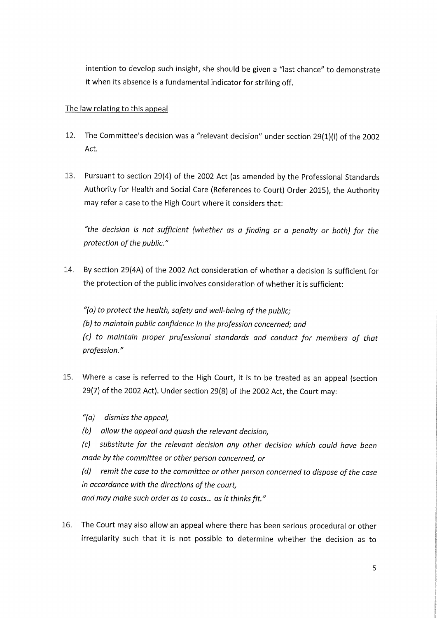intention to develop such insight, she should be given a "last chance" to demonstrate it when its absence is a fundamental indicator for striking off.

#### The law relating to this appeal

- 12. The Committee's decision was a "relevant decision" under section 29(1)(i) of the 2002 Act.
- 13. Pursuant to section 29(4) of the 2002 Act (as amended by the Professional Standards Authority for Health and Social Care (References to Court) Order 2015), the Authority may refer a case to the High Court where it considers that:

"the decision is not sufficient (whether as a finding or a penalty or both) for the protection of the public."

14. By section 29(4A) of the 2002 Act consideration of whether a decision is sufficient for the protection of the public involves consideration of whether it is sufficient:

 $''(a)$  to protect the health, safety and well-being of the public; (b) to maintain public confidence in the profession concerned; and (c) to maintain proper professional standards and conduct for members of that profession."

- 15. Where a case is referred to the High Court, it is to be treated as an appeal (section 29(7) of the 2002 Act). Under section 29(8) of the 2002 Act, the Court may:
	- "(a) dismiss the appeal,
	- (b) allow the appeal and quash the relevant decision,

(c) substitute for the relevant decision any other decision which could have been made by the committee or other person concerned, or

(d) remit the case to the committee or other person concerned to dispose of the case in accordance with the directions of the court, and may make such order as to costs... as it thinks fit."

16. The Court may also allow an appeal where there has been serious procedural or other irregularity such that it is not possible to determine whether the decision as to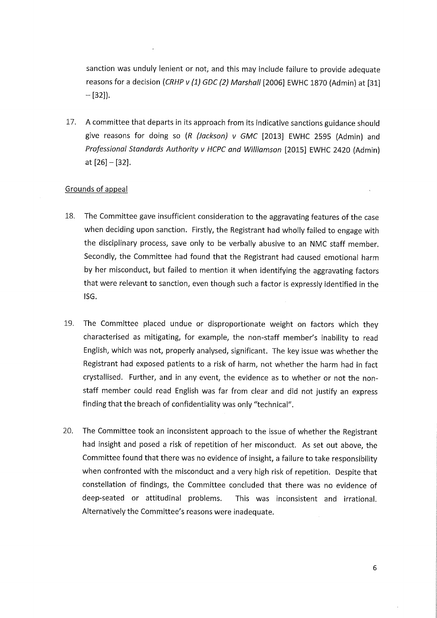sanction was unduly lenient or not, and this may include failure to provide adequate reasons for a decision (CRHP v (1) GDC (2) Marshall [2006] EWHC 1870 (Admin) at [31]  $-[32]$ .

17. A committee that departs in its approach from its indicative sanctions guidance should give reasons for doing so  $(R / Jackson)$  v GMC [2013] EWHC 2595 (Admin) and Professional Standards Authority v HCPC and Williamson [2015] EWHC 2420 (Admin) at [26]-[32].

#### Grounds of appeal

- 18. The Committee gave insufficient consideration to the aggravating features of the case when deciding upon sanction. Firstly, the Registrant had wholly failed to engage with the disciplinary process, save only to be verbally abusive to an NMC staff member. Secondly, the Committee had found that the Registrant had caused emotional harm by her misconduct, but failed to mention it when identifying the aggravating factors that were relevant to sanction, even though such a factor is expressly identified in the ISG.
- 19. The Committee placed undue or disproportionate weight on factors which they characterised as mitigating, for example, the non-staff member's inability to read English, which was not, properly analysed, significant. The key issue was whether the Registrant had exposed patients to a risk of harm, not whether the harm had in fact crystallised. Further, and in any event, the evidence as to whether or not the nonstaff member could read English was far from clear and did not justify an express finding that the breach of confidentiality was only "technical".
- 20. The Committee took an inconsistent approach to the issue of whether the Registrant had insight and posed a risk of repetition of her misconduct. As set out above, the Committee found that there was no evidence of insight, a failure to take responsibility when confronted with the misconduct and a very high risk of repetition. Despite that constellation of findings, the Committee concluded that there was no evidence of deep-seated or attitudinal problems. This was inconsistent and irrational. Alternatively the Committee's reasons were inadequate.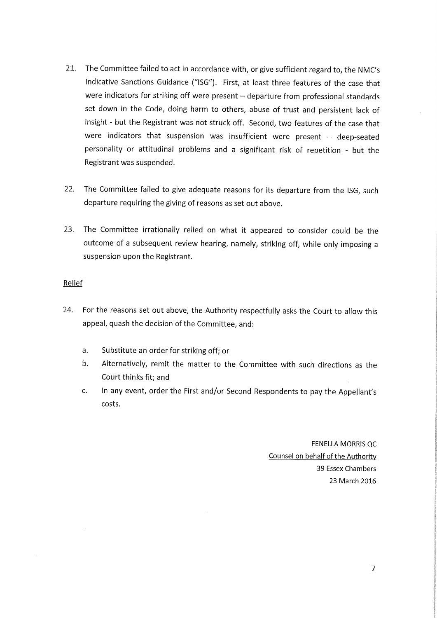- 21. The Committee failed to act in accordance with, or give sufficient regard to, the NMC's Indicative Sanctions Guidance ("ISG"). First, at least three features of the case that were indicators for striking off were present  $-$  departure from professional standards set down in the Code, doing harm to others, abuse of trust and persistent lack of insight - but the Registrant was not struck off. Second, two features of the case that were indicators that suspension was insufficient were present  $-$  deep-seated personality or attitudinal problems and a significant risk of repetition - but the Registrant was suspended.
- 22. The Committee failed to give adequate reasons for its departure from the ISG, such departure requiring the giving of reasons as set out above.
- 23. The Committee irrationally relied on what it appeared to consider could be the outcome of a subsequent review hearing, namely, striking off, while only imposing a suspension upon the Registrant.

### Relief

- 24. For the reasons set out above, the Authority respectfully asks the Court to allow this appeal, quash the decision of the Committee, and:
	- a. Substitute an order for striking off; or
	- b. Alternatively, remit the matter to the Committee with such directions as the Court thinks fit; and
	- c. In any event, order the First and/or Second Respondents to pay the Appellant's costs.

FENELLA MORRIS QC Counsel on behalf of the Authority 39 Essex Chambers 23 March 2016

7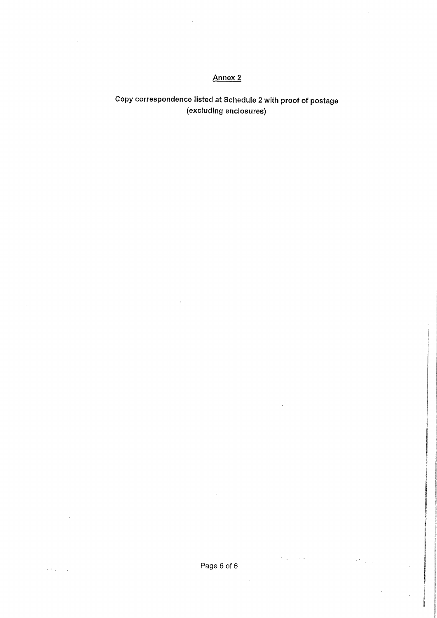### Annex 2

l.

## Copy correspondence listed at Schedule 2 with proof of postage (excluding enclosures)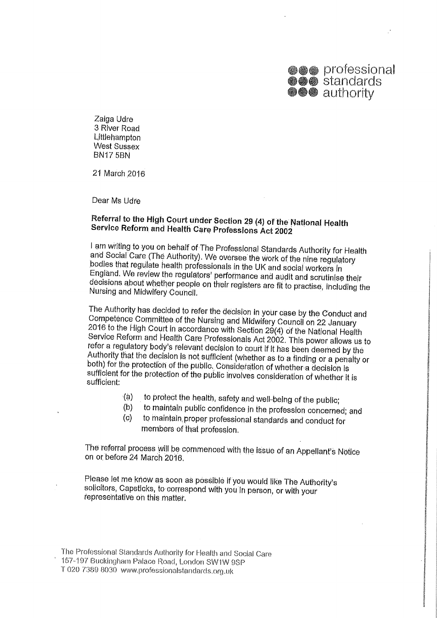

Zaiga Udre 3 River Road Littlehampton West Sussex BN17 5BN

21 March 2016

Dear Ms Udre

### Referral to the High Court under Section 29 (4) of the National Health Service Reform and Health Care Professions Act 2002

I am writing to you on behalf of The Professional Standards Authority for Health and Social Care (The Authority). We oversee the work of the nine regulatory bodies that regulate health professionals in the UK and social workers in England. We review the regulators' performance and audit and scrutinise their decisions about whether people on their registers are fit to practise, including the<br>Nursing and Midwifery Council.

The Authority has decided to refer the decision in your case by the Conduct and Competence Committee of the Nursing and Midwifery Council on 22 January 2016 to the High Court in accordance with Section 29(4) of the National Health Service Reform and Health Care Professionals Act 2002. This power allows us to refer a regulatory body's relevant decision to court if it has been deemed by the Authority that the decision is not sufficient (whether as to a finding or a penalty or both) for the protection of the public. Consideration of whether a decision is sufficient for the protection of the public involves consideration of whether it is sufficient:

- (a) to protect the health, safety and well-being of the public;
- (b) to maintain public confidence in the profession concerned; and
- (c) to maintain,;proper professional standards and conduct for members of that profession,

The referral process will be commenced with the issue of an Appellant's Notice on or before 24 March 2016,

Please let me know as soon as possible if you would like The Authority's solicitors, Capstlcks, to correspond with you In person, or with your representative on this matter.

I he Professional Standards Authority for Health and Social Care 157-197 Buckingham Palace Road, London SW1W 9SP T 020 7389 8030 www.professionalsfandards.org.uk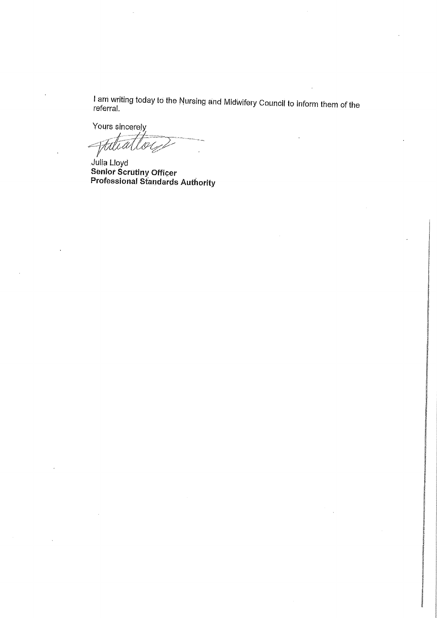I am writing today to the Nursing and Midwifery Coundit to inform them of the referral.

Yours sincerely Ftill

Julia Lloyd Senior Scrutiny Officer Professional Standards Authority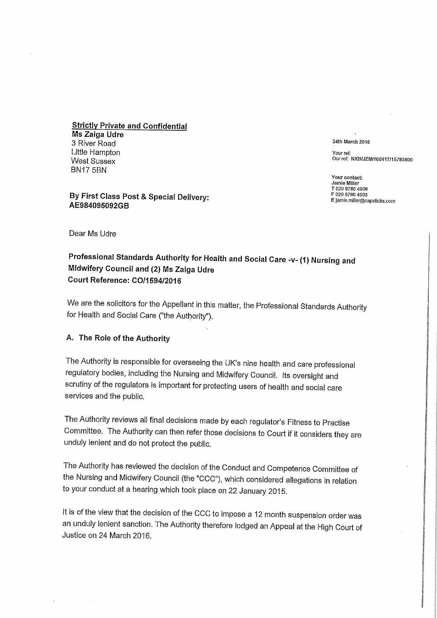**Strictly Private and Confidential** Ms Zaiga Udre 3 River Road Little Hampton West Sussex BN17 5BN

By First Class Post & Special Delivery: AE984095092GB

24th March 2016

Your ref: Ourref: NXB/JZM/105417/15783800

Your contact: Jamie Miller T 020 8780 4908 F 020 8780 4603 E Jamla.miller@capsticks.com

Dear Ms Udre

### Professional Standards Authority for Health and Social Care -v- (1) Nursing and Midwifery Council and (2) Ms Zaiga Udre Court Reference: C0/1594/2016

We are the solicitors for the Appellant in this matter, the Professional Standards Authority for Health and Social Care ("the Authority").

#### A. The Role of the Authority

The Authority is responsible for overseeing the UK's nine health and care professional regulatory bodies, including the Nursing and Midwifery Council. Its oversight and scrutiny of the regulators is important for protecting users of health and social care services and the public.

The Authority reviews all final decisions made by each regulator's Fitness to Practise Committee. The Authority can then refer those decisions to Court if it considers they are unduly lenient and do not protect the public.

The Authority has reviewed the decision of the Conduct and Competence Committee of the Nursing and Midwifery Council (the "CCC"), which considered allegations in relation to your conduct at a hearing which took place on 22 January 2015.

It is of the view that the decision of the CCC to impose a 12 month suspension order was an unduly lenient sanction. The Authority therefore lodged an Appeal at the High Court of Justice on 24 March 2016.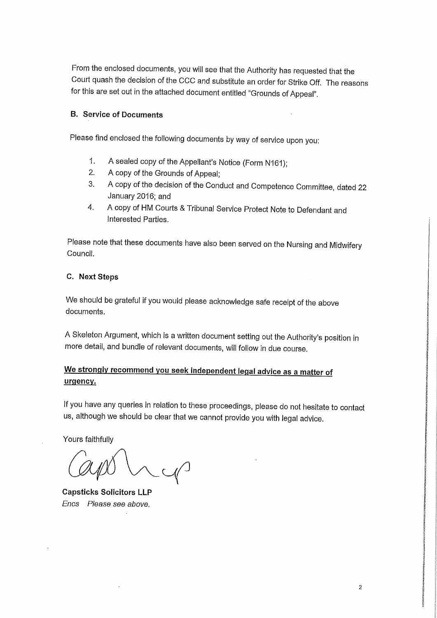From the enclosed documents, you will see that the Authority has requested that the Court quash the decision of the CCC and substitute an order for Strike Off. The reasons for this are set out in the attached document entitled "Grounds of Appeal".

### B. Service of Documents

Please find enclosed the following documents by way of service upon you:

- 1. A sealed copy of the Appellant's Notice (Form N161);
- 2. A copy of the Grounds of Appeal;
- 3. A copy of the decision of the Conduct and Competence Committee, dated 22 January 2016; and
- 4. A copy of HM Courts & Tribunal Service Protect Note to Defendant and Interested Parties.

Please note that these documents have also been served on the Nursing and Midwifery Council.

### C. Next Steps

We should be grateful if you would please acknowledge safe receipt of the above documents.

A Skeleton Argument, which is a written document setting out the Authority's position in more detail, and bundle of relevant documents, will follow in due course.

### We strongly recommend you seek independent legal advice as a matter of urgency.

If you have any queries in relation to these proceedings, please do not hesitate to contact us, although we should be clear that we cannot provide you with legal advice.

Yours faithfully

Capsticks Solicitors LLP Encs Please see above.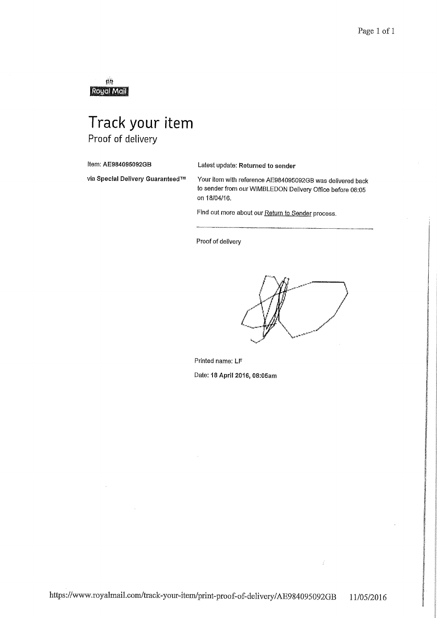鸱 RoughMail

# Track your item Proof of delivery

Item: AE984095092GB Latest update: Returned to sender

via Special Delivery Guaranteed™ Your item with reference AE984095092GB was delivered back to sender from our WIMBLEDON Delivery Office before 08:05 on 18/04/16.

Find out more about our Return to Sender process.

Proof of delivery

Printed name: LF Date: 18 April 2016, 08:05am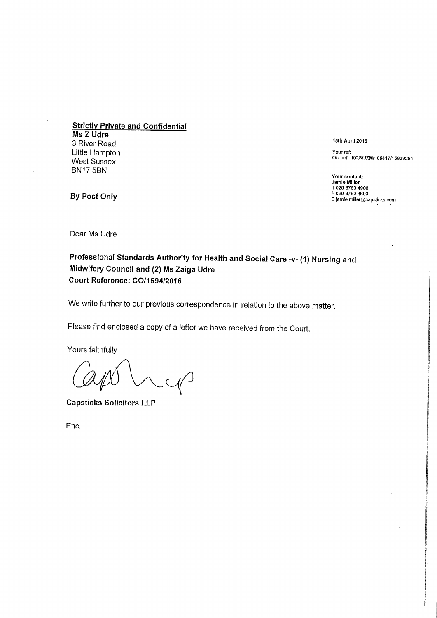Strictly Private and Confidential Ms Z Udre 3 River Road Little Hampton West Sussex BN17 5BN

15th April 2016

Your ref: Ourref: KQS/JZM/105417/15939281

Your contact: Jamie Miller T 020 8780 4008 F 020 8780 4603 E jamle.miller@capsticks.com

By Post Only

Dear Ms Udre

### Professional Standards Authority for Health and Social Care -v- (1) Nursing and Midwifery Council and (2) Ms Zaiga Udre Court Reference: C0/1594/2016

We write further to our previous correspondence in relation to the above matter.

Please find enclosed a copy of a letter we have received from the Court.

Yours faithfully

 $C_1$ 

Capsticks Solicitors LLP

Enc.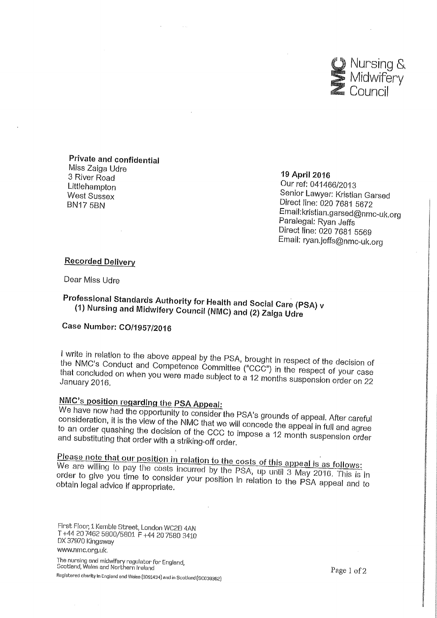

Private and confidential Miss Zaiga Udre 3 River Road Littlehampton West Sussex BN17 5BN

19 April 2016

Ourref; 041466/2013 Senior Lawyer: Kristian Garsed Direct line: 020 7681 5672 Email:kristian.garsed@nmc-uk,org Paralegal: Ryan Jeffs Direct line: 020 7681 5569 Email: ryan.jeffs@nmc-uk.org

### Recorded Delivery

Dear Miss Udre

## Professional Standards Authority for Health and Social Care (PSA) v (1) Nursing and Midwifery Council (NIVIC) and (2) Zaiga Udre

### Case Number: C0/1957/2016

I write in relation to the above appeal by the PSA, brought in respect of the decision of<br>the NMC's Conduct and Competence Committee ("CCC") in the respect of your case that concluded on when you were made subject to a 12 months suspension order on 22

## NMC's position regarding the PSA Appeal:

We have now had the opportunity to consider the PSA's grounds of appeal. After careful consideration, it is the view of the NMC that we will concede the appeal. After careful consideration, it is the view of the NMC that we will concede the appeal in full and agree<br>to an order quashing the decision of the CC to an order quashing the decision of the CCC to impose a 12 month suspension order and substituting that order with a striking off order.

<u>Please note that our position in relation to the costs of this appeal is as follows:</u><br>We are willing to pay the costs incurred by the PSA, up until 3 May 2016. This is in order to give you time to consider your position in relation to the PSA appeal and to<br>obtain legal advice if appropriate.

First Floor, 1 Kemble Street, London WCEB 4AN T +44 20 7462 5800/5801 F +44 20 7580 3410 DX 37970 Kingsway www.nmc.org.uk.

The nursing and midwifery regulator for England,<br>Scotland, Wales and Northern Ireland Registered charity in Englend end Wales (1091434) and in Scotland (80038362)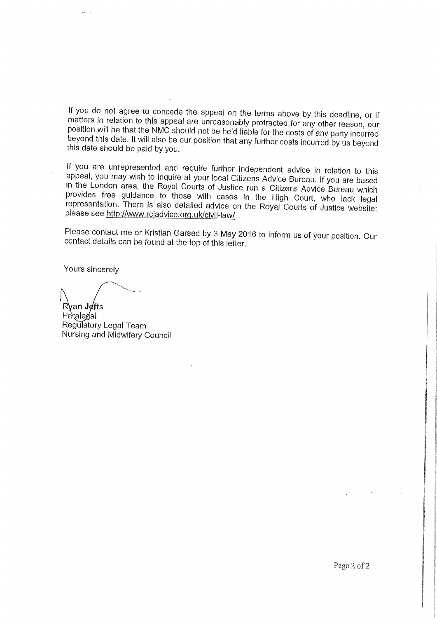If you do not agree to concede the appeal on the terms above by this deadline, or if matters in relation to this appeal are unreasonably protracted for any other reason, our position will be that the NMC should not be held liable for the costs of any party incurred beyond this date. It will also be our position that any further costs incurred by us beyond this date should be paid by you.

If you are unrepresented and require further independent advice in relation to this appeal, you may wish to inquire at your local Citizens Advice Bureau. If you are based in the London area, the Royal Courts of Justice run a Citizens Advice Bureau which provides free guidance to those with cases in the High Court, who lack legal representation. There is also detailed advice on the Royal Courts of Justice website: please see http://www.rciadvice.org.uk/civil-law/.

Please contact me or Kristian Garsed by 3 May 2016 to inform us of your position. Our contact details can be found at the top of this letter.

Yours sincerely

Ryan Joffs

Paralegal Regulatory Legal Team Nursing and Midwifery Council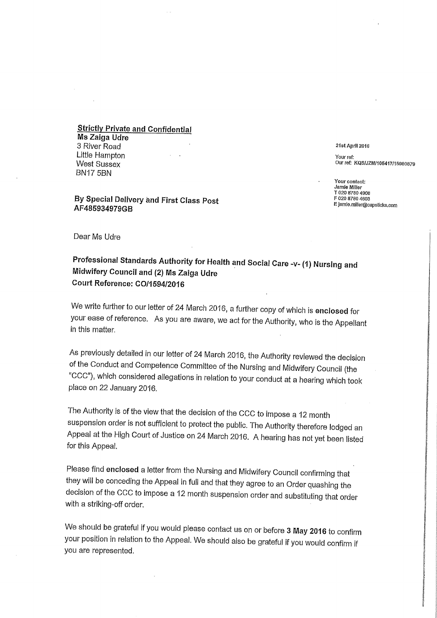**Strictly Private and Confidential** Wis Zaiga Udre 3 River Road Little Hampton West Sussex BN17 5BN

#### By Special Delivery and First Class Post AF485934979GB

21st April 2016

Your ref: Our ref: KQS/JZM/105417/15980879

Your contact: Jamie Miller T 020 8780 4908 F 020 8780 4603 E Jamie.miller@capsticks,com

Dear Ms Udre

### Professional Standards Authority for Health and Social Care -v- (1) Nursing and Midwifery Council and (2) Ms Zaiga Udre Court Reference: C0/1594/2016

We write further to our letter of 24 March 2016, a further copy of which is enclosed for your ease of reference. As you are aware, we act for the Authority, who is the Appellant in this matter.

As previously detailed in our letter of 24 March 2016, the Authority reviewed the decision of the Conduct and Competence Committee of the Nursing and Midwifery Council (the "CCC"), which considered allegations in relation to your conduct at a hearing which took place on 22 January 2016.

The Authority is of the view that the decision of the CCC to impose a 12 month suspension order is not sufficient to protect the public. The Authority therefore lodged an Appeal at the High Court of Justice on 24 March 2016. A hearing has not yet been listed for this Appeal.

Please find enclosed a letter from the Nursing and Midwifery Council confirming that they will be conceding the Appeal in full and that they agree to an Order quashing the decision of the CCC to impose a 12 month suspension order and substituting that order with a striking-off order.

We should be grateful if you would please contact us on or before 3 May 2016 to confirm your position in relation to the Appeal. We should also be grateful if you would confirm if you are represented.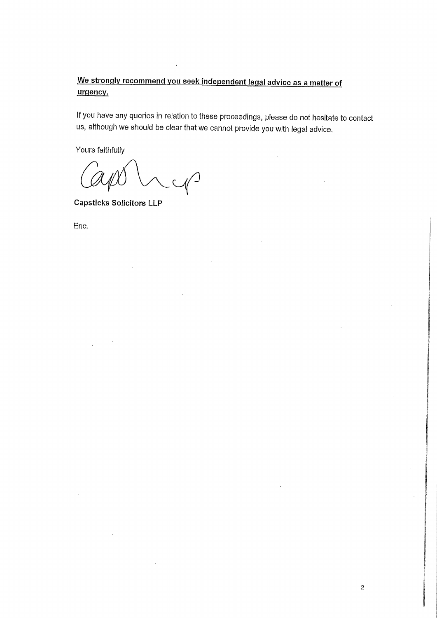### We strongly recommend you seek independent legal advice as a matter of urgency.

If you have any queries in relation to these proceedings, please do not hesitate to contact us, although we should be clear that we cannot provide you with legal advice.

2

Yours faithfully

Capsticks Solicitors LLP

Enc.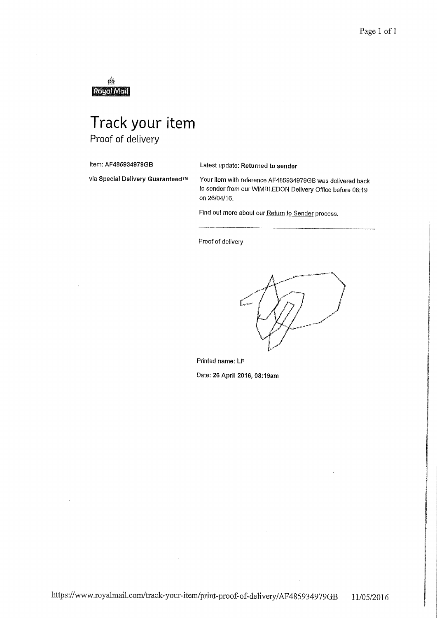gģ Royal Mail

# Track your item Proof of delivery

Item: AF485934979GB Latest update: Returned to sender

via Special Delivery Guaranteed™ Your item with reference AF485934979GB was delivered back to sender from our WIMBLEDON Delivery Office before 08:19 on 26/04/16.

Find out more about our Return to Sender process.

Proof of delivery

Printed name: LF Date: 26 April 2016, 08:19am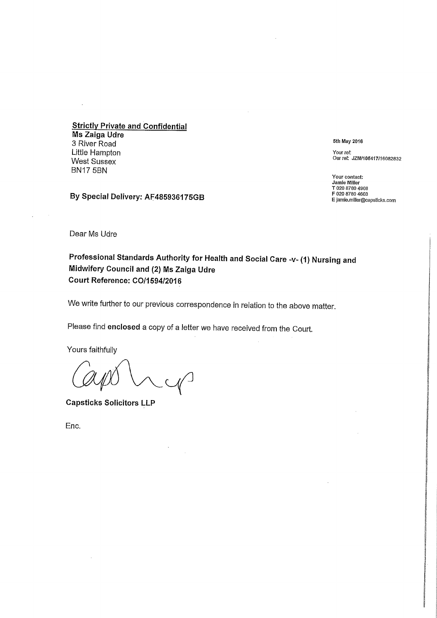**Strictly Private and Confidential** Ms Zaiga Udre 3 River Road Little Hampton West Sussex BN17 5BN

By Special Delivery: AF485936175GB

5th May 2016

Your ref: Our ref: JZM/105417/16082832

Your contact: Jamie Miller T 020 8780 4908 F 020 8780 4603 E jamie.mlller@capsticks.com

Dear Ms Udre

 $\lambda$ 

Professional Standards Authority for Health and Social Care -v- (1) Nursing and Midwifery Council and (2) Ms Zaiga Udre Court Reference: C0/1594/2016

We write further to our previous correspondence in relation to the above matter.

Please find enclosed a copy of a letter we have received from the Court.

Yours faithfully

Capsticks Solicitors LLP

Enc.